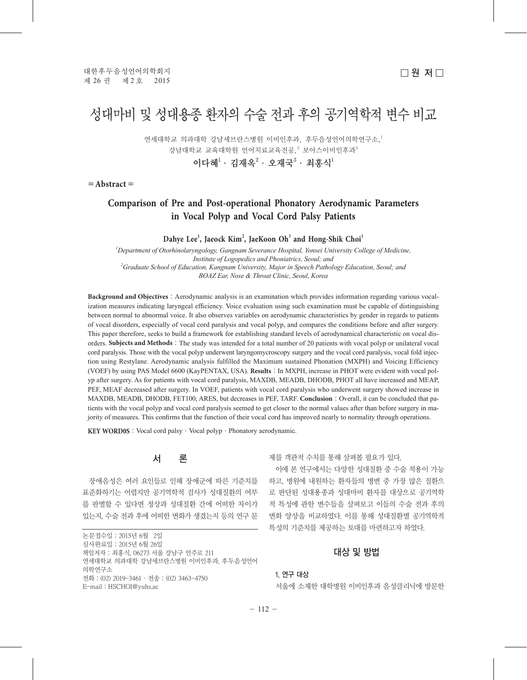# 성대마비 및 성대용종 환자의 수술 전과 후의 공기역학적 변수 비교

연세대학교 의과대학 강남세브라스병원 이비인후과 후두음성언어의학연구소<sup>1</sup> 강남대학교 교육대학원 언어치료교육전공, $^2$  보아스이비인후과 $^3$ 이다혜 $^1\cdot$  김재옥 $^2\cdot$  오재국 $^3\cdot$  최홍식 $^1$ 

=**Abstract**=

# **Comparison of Pre and Post-operational Phonatory Aerodynamic Parameters in Vocal Polyp and Vocal Cord Palsy Patients**

# **Dahye Lee<sup>1</sup> , Jaeock Kim<sup>2</sup> , JaeKoon Oh<sup>3</sup> and Hong-Shik Choi<sup>1</sup>**

*1 Department of Otorhinolaryngology, Gangnam Severance Hospital, Yonsei University College of Medicine, Institute of Logopedics and Phoniatrics, Seoul; and 2 Graduate School of Education, Kangnam University, Major in Speech Pathology Education, Seoul; and BOAZ Ear, Nose & Throat Clinic, Seoul, Korea*

**Background and Objectives**: Aerodynamic analysis is an examination which provides information regarding various vocalization measures indicating laryngeal efficiency. Voice evaluation using such examination must be capable of distinguishing between normal to abnormal voice. It also observes variables on aerodynamic characteristics by gender in regards to patients of vocal disorders, especially of vocal cord paralysis and vocal polyp, and compares the conditions before and after surgery. This paper therefore, seeks to build a framework for establishing standard levels of aerodynamical characteristic on vocal disorders. **Subjects and Methods**: The study was intended for a total number of 20 patients with vocal polyp or unilateral vocal cord paralysis. Those with the vocal polyp underwent laryngomycroscopy surgery and the vocal cord paralysis, vocal fold injection using Restylane. Aerodynamic analysis fulfilled the Maximum sustained Phonation (MXPH) and Voicing Efficiency (VOEF) by using PAS Model 6600 (KayPENTAX, USA). **Results**:In MXPH, increase in PHOT were evident with vocal polyp after surgery. As for patients with vocal cord paralysis, MAXDB, MEADB, DHODB, PHOT all have increased and MEAP, PEF, MEAF decreased after surgery. In VOEF, patients with vocal cord paralysis who underwent surgery showed increase in MAXDB, MEADB, DHODB, FET100, ARES, but decreases in PEF, TARF. Conclusion: Overall, it can be concluded that patients with the vocal polyp and vocal cord paralysis seemed to get closer to the normal values after than before surgery in majority of measures. This confirms that the function of their vocal cord has improved nearly to normality through operations.

KEY WORD0S : Vocal cord palsy ⋅ Vocal polyp ⋅ Phonatory aerodynamic.



장애음성은 여러 요인들로 인해 장애군에 따른 기준치를 표준화하기는 어렵지만 공기역학적 검사가 성대질환의 여부 를 판별할 수 있다면 정상과 성대질환 간에 어떠한 차이가 있는지, 수술 전과 후에 어떠한 변화가 생겼는지 등의 연구 문

논문접수일: 2015년 6월 2일 심사완료일:2015년 6월 26일 책임저자:최홍식, 06273 서울 강남구 언주로 211 연세대학교 의과대학 강남세브란스병원 이비인후과, 후두음성언어 의학연구소 전화:(02) 2019-3461·전송:(02) 3463-4750 E-mail:HSCHOI@yuhs.ac

제를 객관적 수치를 통해 살펴볼 필요가 있다.

이에 본 연구에서는 다양한 성대질환 중 수술 적용이 가능 하고, 병원에 내원하는 환자들의 병변 중 가장 많은 질환으 로 판단된 성대용종과 성대마비 환자를 대상으로 공기역학 적 특성에 관한 변수들을 살펴보고 이들의 수술 전과 후의 변화 양상을 비교하였다. 이를 통해 성대질환별 공기역학적 특성의 기준치를 제공하는 토대를 마련하고자 하였다.

# 대상 및 방법

#### 1. 연구 대상

서울에 소재한 대학병원 이비인후과 음성클리닉에 방문한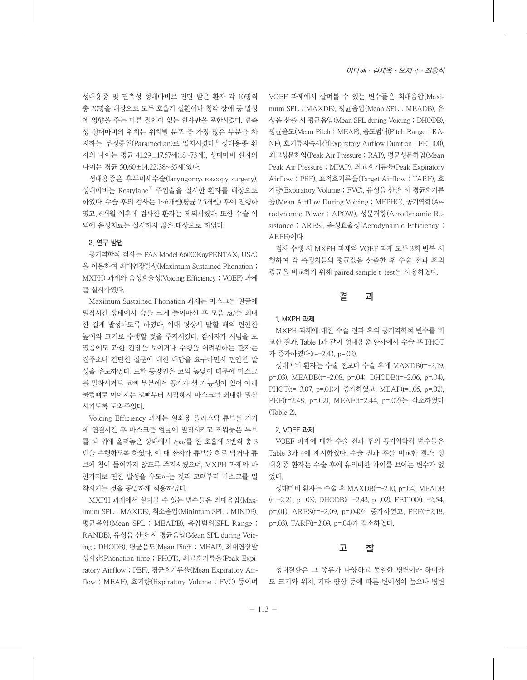성대용종 및 편측성 성대마비로 진단 받은 환자 각 10명씩 총 20명을 대상으로 모두 호흡기 질환이나 청각 장애 등 발성 에 영향을 주는 다른 질환이 없는 환자만을 포함시켰다. 편측 성 성대마비의 위치는 위치별 분포 중 가장 많은 부분을 차 지하는 부정중위(Paramedian)로 일치시켰다. 1) 성대용종 환 자의 나이는 평균 41.29±17.57세(18~73세), 성대마비 환자의 나이는 평균 50.60±14.22(38~65세)였다.

성대용종은 후두미세수술(laryngomycroscopy surgery), 성대마비는 RestylaneⓇ 주입술을 실시한 환자를 대상으로 하였다. 수술 후의 검사는 1~6개월(평균 2.5개월) 후에 진행하 였고, 6개월 이후에 검사한 환자는 제외시켰다. 또한 수술 이 외에 음성치료는 실시하지 않은 대상으로 하였다.

## 2. 연구 방법

공기역학적 검사는 PAS Model 6600(KayPENTAX, USA) 을 이용하여 최대연장발성(Maximum Sustained Phonation ; MXPH) 과제와 음성효율성(Voicing Efficiency ; VOEF) 과제 를 실시하였다.

Maximum Sustained Phonation 과제는 마스크를 얼굴에 밀착시킨 상태에서 숨을 크게 들이마신 후 모음 /a/를 최대 한 길게 발성하도록 하였다. 이때 평상시 말할 때의 편안한 높이와 크기로 수행할 것을 주지시켰다. 검사자가 시범을 보 였음에도 과한 긴장을 보이거나 수행을 어려워하는 환자는 집주소나 간단한 질문에 대한 대답을 요구하면서 편안한 발 성을 유도하였다. 또한 동양인은 코의 높낮이 때문에 마스크 를 밀착시켜도 코뼈 부분에서 공기가 샐 가능성이 있어 아래 물렁뼈로 이어지는 코뼈부터 시작해서 마스크를 최대한 밀착 시키도록 도와주었다.

Voicing Efficiency 과제는 일회용 플라스틱 튜브를 기기 에 연결시킨 후 마스크를 얼굴에 밀착시키고 끼워놓은 튜브 를 혀 위에 올려놓은 상태에서 /pa/를 한 호흡에 5번씩 총 3 번을 수행하도록 하였다. 이 때 환자가 튜브를 혀로 막거나 튜 브에 침이 들어가지 않도록 주지시켰으며, MXPH 과제와 마 찬가지로 편한 발성을 유도하는 것과 코뼈부터 마스크를 밀 착시키는 것을 동일하게 적용하였다.

MXPH 과제에서 살펴볼 수 있는 변수들은 최대음압(Maximum SPL ; MAXDB), 최소음압(Minimum SPL ; MINDB), 평균음압(Mean SPL ; MEADB), 음압범위(SPL Range ; RANDB), 유성음 산출 시 평균음압(Mean SPL during Voicing ; DHODB), 평균음도(Mean Pitch ; MEAP), 최대연장발 성시간(Phonation time ; PHOT), 최고호기류율(Peak Expiratory Airflow ; PEF), 평균호기류율(Mean Expiratory Airflow ; MEAF), 호기량(Expiratory Volume ; FVC) 등이며 VOEF 과제에서 살펴볼 수 있는 변수들은 최대음압(Maximum SPL ; MAXDB), 평균음압(Mean SPL ; MEADB), 유 성음 산출 시 평균음압(Mean SPL during Voicing ; DHODB), 평균음도(Mean Pitch ; MEAP), 음도범위(Pitch Range ; RA-NP), 호기류지속시간(Expiratory Airflow Duration ; FET100), 최고성문하압(Peak Air Pressure ; RAP), 평균성문하압(Mean Peak Air Pressure ; MPAP), 최고호기류율(Peak Expiratory Airflow ; PEF), 표적호기류율(Target Airflow ; TARF), 호 기량(Expiratory Volume ; FVC), 유성음 산출 시 평균호기류 율(Mean Airflow During Voicing ; MFPHO), 공기역학(Aerodynamic Power ; APOW), 성문저항(Aerodynamic Resistance ; ARES), 음성효율성(Aerodynamic Efficiency ; AEFF)이다.

검사 수행 시 MXPH 과제와 VOEF 과제 모두 3회 반복 시 행하여 각 측정치들의 평균값을 산출한 후 수술 전과 후의 평균을 비교하기 위해 paired sample t-test를 사용하였다.

### 결 과

#### 1. MXPH 과제

MXPH 과제에 대한 수술 전과 후의 공기역학적 변수를 비 교한 결과, Table 1과 같이 성대용종 환자에서 수술 후 PHOT 가 증가하였다(t=-2.43, p=.02).

성대마비 환자는 수술 전보다 수술 후에 MAXDB(t=-2.19, p=.03), MEADB(t=-2.08, p=.04), DHODB(t=-2.06, p=.04), PHOT(t=-3.07, p=.01)가 증가하였고, MEAP(t=1.05, p=.02), PEF(t=2.48, p=.02), MEAF(t=2.44, p=.02)는 감소하였다 (Table 2).

#### 2. VOEF 과제

VOEF 과제에 대한 수술 전과 후의 공기역학적 변수들은 Table 3과 4에 제시하였다. 수술 전과 후를 비교한 결과, 성 대용종 환자는 수술 후에 유의미한 차이를 보이는 변수가 없 었다.

성대마비 환자는 수술 후 MAXDB(t=-2.10, p=.04), MEADB  $(t=-2.21, p=.03)$ , DHODB $(t=-2.43, p=.02)$ , FET100 $(t=-2.54,$ p=.01), ARES(t=-2.09, p=.04)이 증가하였고, PEF(t=2.18, p=.03), TARF(t=2.09, p=.04)가 감소하였다.

### 고 찰

성대질환은 그 종류가 다양하고 동일한 병변이라 하더라 도 크기와 위치, 기타 양상 등에 따른 변이성이 높으나 병변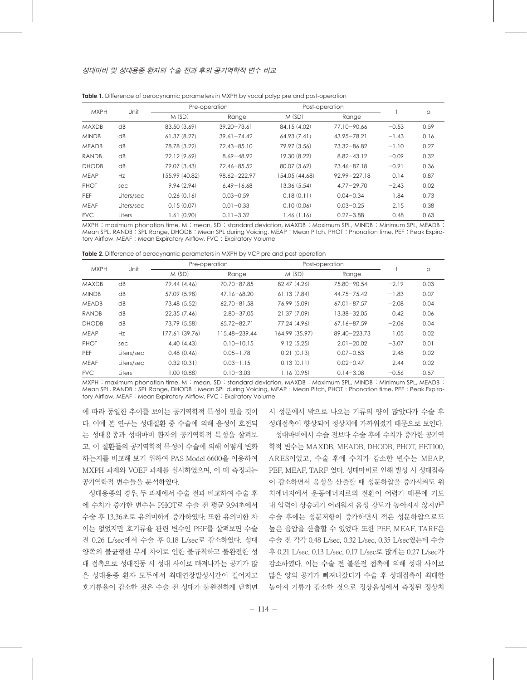| <b>MXPH</b>  | Unit       | Pre-operation  |                 | Post-operation |                  |         |      |
|--------------|------------|----------------|-----------------|----------------|------------------|---------|------|
|              |            | M(SD)          | Range           | M(SD)          | Range            |         | р    |
| <b>MAXDB</b> | dB         | 83.50 (3.69)   | $39.20 - 73.61$ | 84.15 (4.02)   | 77.10-90.66      | $-0.53$ | 0.59 |
| <b>MINDB</b> | dB         | 61.37(8.27)    | $39.61 - 74.42$ | 64.93(7.41)    | 43.95 - 78.21    | $-1.43$ | 0.16 |
| <b>MEADB</b> | dB         | 78.78 (3.22)   | $72.43 - 85.10$ | 79.97 (3.56)   | 73.32-86.82      | $-1.10$ | 0.27 |
| <b>RANDB</b> | dB         | 22.12(9.69)    | $8.69 - 48.92$  | 19.30 (8.22)   | $8.82 - 43.12$   | $-0.09$ | 0.32 |
| <b>DHODB</b> | dB         | 79.07 (3.43)   | $72.46 - 85.52$ | 80.07 (3.62)   | 73.46-87.18      | $-0.91$ | 0.36 |
| <b>MEAP</b>  | Hz         | 155.99 (40.82) | 98.62-222.97    | 154.05 (44.68) | $92.99 - 227.18$ | 0.14    | 0.87 |
| PHOT         | sec        | 9.94(2.94)     | $6.49 - 16.68$  | 13.36(5.54)    | $4.77 - 29.70$   | $-2.43$ | 0.02 |
| PEF          | Liters/sec | 0.26(0.16)     | $0.03 - 0.59$   | 0.18(0.11)     | $0.04 - 0.34$    | 1.84    | 0.73 |
| <b>MEAF</b>  | Liters/sec | 0.15(0.07)     | $0.01 - 0.33$   | 0.10(0.06)     | $0.03 - 0.25$    | 2.15    | 0.38 |
| <b>FVC</b>   | Liters     | 1.61(0.90)     | $0.11 - 3.32$   | 1.46(1.16)     | $0.27 - 3.88$    | 0.48    | 0.63 |

**Table 1.** Difference of aerodynamic parameters in MXPH by vocal polyp pre and post-operation

MXPH : maximum phonation time, M : mean, SD : standard deviation, MAXDB : Maximum SPL, MINDB : Minimum SPL, MEADB : Mean SPL, RANDB : SPL Range, DHODB : Mean SPL during Voicing, MEAP : Mean Pitch, PHOT : Phonation time, PEF : Peak Expiratory Airflow, MEAF : Mean Expiratory Airflow, FVC : Expiratory Volume

**Table 2.** Difference of aerodynamic parameters in MXPH by VCP pre and post-operation

| <b>MXPH</b>  | Unit       | Pre-operation  |                 | Post-operation |                  |         |      |
|--------------|------------|----------------|-----------------|----------------|------------------|---------|------|
|              |            | M(SD)          | Range           | M(SD)          | Range            |         | р    |
| <b>MAXDB</b> | dB         | 79.44 (4.46)   | 70.70-87.85     | 82.47 (4.26)   | 75.80-90.54      | $-2.19$ | 0.03 |
| <b>MINDB</b> | dB         | 57.09 (5.98)   | $47.16 - 68.20$ | 61.13(7.84)    | $44.75 - 75.42$  | $-1.83$ | 0.07 |
| <b>MEADB</b> | dB         | 73.48 (5.52)   | $62.70 - 81.58$ | 76.99 (5.09)   | $67.01 - 87.57$  | $-2.08$ | 0.04 |
| <b>RANDB</b> | dB         | 22.35(7.46)    | $2.80 - 37.05$  | 21.37(7.09)    | 13.38-32.05      | 0.42    | 0.06 |
| <b>DHODB</b> | dB         | 73.79 (5.58)   | $65.72 - 82.71$ | 77.24 (4.96)   | 67.16-87.59      | $-2.06$ | 0.04 |
| <b>MEAP</b>  | Hz         | 177.61 (39.76) | 115.48-239.44   | 164.99 (35.97) | $89.40 - 223.73$ | 1.05    | 0.02 |
| PHOT         | sec        | 4.40(4.43)     | $0.10 - 10.15$  | 9.12(5.25)     | $2.01 - 20.02$   | $-3.07$ | 0.01 |
| <b>PEF</b>   | Liters/sec | 0.48(0.46)     | $0.05 - 1.78$   | 0.21(0.13)     | $0.07 - 0.53$    | 2.48    | 0.02 |
| <b>MEAF</b>  | Liters/sec | 0.32(0.31)     | $0.03 - 1.15$   | 0.13(0.11)     | $0.02 - 0.47$    | 2.44    | 0.02 |
| <b>FVC</b>   | Liters     | 1.00(0.88)     | $0.10 - 3.03$   | 1.16(0.95)     | $0.14 - 3.08$    | $-0.56$ | 0.57 |

MXPH : maximum phonation time, M : mean, SD : standard deviation, MAXDB : Maximum SPL, MINDB : Minimum SPL, MEADB : Mean SPL, RANDB : SPL Range, DHODB : Mean SPL during Voicing, MEAP : Mean Pitch, PHOT : Phonation time, PEF : Peak Expiratory Airflow, MEAF : Mean Expiratory Airflow, FVC : Expiratory Volume

에 따라 동일한 추이를 보이는 공기역학적 특성이 있을 것이 다. 이에 본 연구는 성대질환 중 수술에 의해 음성이 호전되 는 성대용종과 성대마비 환자의 공기역학적 특성을 살펴보 고, 이 질환들의 공기역학적 특성이 수술에 의해 어떻게 변화 하는지를 비교해 보기 위하여 PAS Model 6600을 이용하여 MXPH 과제와 VOEF 과제를 실시하였으며, 이 때 측정되는 공기역학적 변수들을 분석하였다.

성대용종의 경우, 두 과제에서 수술 전과 비교하여 수술 후 에 수치가 증가한 변수는 PHOT로 수술 전 평균 9.94초에서 수술 후 13.36초로 유의미하게 증가하였다. 또한 유의미한 차 이는 없었지만 호기류율 관련 변수인 PEF를 살펴보면 수술 전 0.26 L/sec에서 수술 후 0.18 L/sec로 감소하였다. 성대 양쪽의 불균형한 무게 차이로 인한 불규칙하고 불완전한 성 대 접촉으로 성대진동 시 성대 사이로 빠져나가는 공기가 많 은 성대용종 환자 모두에서 최대연장발성시간이 길어지고 호기류율이 감소한 것은 수술 전 성대가 불완전하게 닫히면

서 성문에서 밖으로 나오는 기류의 양이 많았다가 수술 후 성대접촉이 향상되어 정상치에 가까워졌기 때문으로 보인다. 성대마비에서 수술 전보다 수술 후에 수치가 증가한 공기역 학적 변수는 MAXDB, MEADB, DHODB, PHOT, FET100, ARES이었고, 수술 후에 수치가 감소한 변수는 MEAP, PEF, MEAF, TARF 였다. 성대마비로 인해 발성 시 성대접촉 이 감소하면서 음성을 산출할 때 성문하압을 증가시켜도 위 치에너지에서 운동에너지로의 전환이 어렵기 때문에 기도 내 압력이 상승되기 어려워져 음성 강도가 높아지지 않지만<sup>2)</sup> 수술 후에는 성문저항이 증가하면서 적은 성문하압으로도 높은 음압을 산출할 수 있었다. 또한 PEF, MEAF, TARF은 수술 전 각각 0.48 L/sec, 0.32 L/sec, 0.35 L/sec였는데 수술 후 0.21 L/sec, 0.13 L/sec, 0.17 L/sec로 많게는 0.27 L/sec가 감소하였다. 이는 수술 전 불완전 접촉에 의해 성대 사이로 많은 양의 공기가 빠져나갔다가 수술 후 성대접촉이 최대한 높아져 기류가 감소한 것으로 정상음성에서 측정된 정상치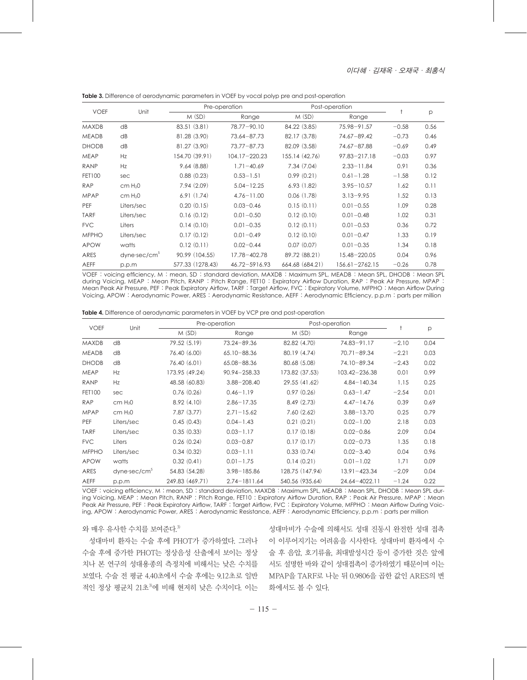| <b>VOEF</b>   | Unit                | Pre-operation    |                | Post-operation  |                |         |      |
|---------------|---------------------|------------------|----------------|-----------------|----------------|---------|------|
|               |                     | M(SD)            | Range          | M(SD)           | Range          |         | p    |
| <b>MAXDB</b>  | dB                  | 83.51(3.81)      | 78.77-90.10    | 84.22 (3.85)    | 75.98-91.57    | $-0.58$ | 0.56 |
| <b>MEADB</b>  | dB                  | 81.28 (3.90)     | 73.64-87.73    | 82.17 (3.78)    | 74.67-89.42    | $-0.73$ | 0.46 |
| <b>DHODB</b>  | dB                  | 81.27 (3.90)     | 73.77-87.73    | 82.09 (3.58)    | 74.67-87.88    | $-0.69$ | 0.49 |
| <b>MEAP</b>   | Hz                  | 154.70 (39.91)   | 104.17-220.23  | 155.14 (42.76)  | 97.83-217.18   | $-0.03$ | 0.97 |
| <b>RANP</b>   | Hz                  | 9.64(8.88)       | $1.71 - 40.69$ | 7.34(7.04)      | $2.33 - 11.84$ | 0.91    | 0.36 |
| <b>FET100</b> | sec                 | 0.88(0.23)       | $0.53 - 1.51$  | 0.99(0.21)      | $0.61 - 1.28$  | $-1.58$ | 0.12 |
| <b>RAP</b>    | cm H <sub>2</sub> 0 | 7.94(2.09)       | $5.04 - 12.25$ | 6.93(1.82)      | $3.95 - 10.57$ | 1.62    | 0.11 |
| <b>MPAP</b>   | cm H <sub>2</sub> 0 | 6.91(1.74)       | $4.76 - 11.00$ | 0.06(1.78)      | $3.13 - 9.95$  | 1.52    | 0.13 |
| PEF           | Liters/sec          | 0.20(0.15)       | $0.03 - 0.46$  | 0.15(0.11)      | $0.01 - 0.55$  | 1.09    | 0.28 |
| <b>TARF</b>   | Liters/sec          | 0.16(0.12)       | $0.01 - 0.50$  | 0.12(0.10)      | $0.01 - 0.48$  | 1.02    | 0.31 |
| <b>FVC</b>    | Liters              | 0.14(0.10)       | $0.01 - 0.35$  | 0.12(0.11)      | $0.01 - 0.53$  | 0.36    | 0.72 |
| <b>MFPHO</b>  | Liters/sec          | 0.17(0.12)       | $0.01 - 0.49$  | 0.12(0.10)      | $0.01 - 0.47$  | 1.33    | 0.19 |
| <b>APOW</b>   | watts               | 0.12(0.11)       | $0.02 - 0.44$  | 0.07(0.07)      | $0.01 - 0.35$  | 1.34    | 0.18 |
| ARES          | $dyne\cdot sec/cm5$ | 90.99 (104.55)   | 17.78-402.78   | 89.72 (88.21)   | 15.48-220.05   | 0.04    | 0.96 |
| <b>AEFF</b>   | p.p.m               | 577.33 (1278.43) | 46.72-5916.93  | 664.68 (684.21) | 156.61-2762.15 | $-0.26$ | 0.78 |

**Table 3.** Difference of aerodynamic parameters in VOEF by vocal polyp pre and post-operation

VOEF : voicing efficiency, M : mean, SD : standard deviation, MAXDB : Maximum SPL, MEADB : Mean SPL, DHODB : Mean SPL during Voicing, MEAP : Mean Pitch, RANP : Pitch Range, FET10 : Expiratory Airflow Duration, RAP : Peak Air Pressure, MPAP : Mean Peak Air Pressure, PEF : Peak Expiratory Airflow, TARF : Target Airflow, FVC : Expiratory Volume, MFPHO : Mean Airflow During Voicing, APOW : Aerodynamic Power, ARES : Aerodynamic Resistance, AEFF : Aerodynamic Efficiency, p.p.m : parts per million

|  |  | <b>Table 4.</b> Difference of aerodynamic parameters in VOEF by VCP pre and post-operation |
|--|--|--------------------------------------------------------------------------------------------|
|--|--|--------------------------------------------------------------------------------------------|

| <b>VOEF</b>  | Unit                   | Pre-operation   |                  | Post-operation  |                  |         |      |
|--------------|------------------------|-----------------|------------------|-----------------|------------------|---------|------|
|              |                        | M(SD)           | Range            | M(SD)           | Range            |         | p    |
| <b>MAXDB</b> | dB                     | 79.52 (5.19)    | 73.24-89.36      | 82.82 (4.70)    | 74.83-91.17      | $-2.10$ | 0.04 |
| <b>MEADB</b> | dB                     | 76.40 (6.00)    | $65.10 - 88.36$  | 80.19(4.74)     | $70.71 - 89.34$  | $-2.21$ | 0.03 |
| <b>DHODB</b> | dB                     | 76.40 (6.01)    | 65.08-88.36      | 80.68 (5.08)    | 74.10-89.34      | $-2.43$ | 0.02 |
| <b>MEAP</b>  | Hz                     | 173.95 (49.24)  | $90.94 - 258.33$ | 173.82 (37.53)  | 103.42-236.38    | 0.01    | 0.99 |
| <b>RANP</b>  | <b>Hz</b>              | 48.58 (60.83)   | $3.88 - 208.40$  | 29.55 (41.62)   | $4.84 - 140.34$  | 1.15    | 0.25 |
| FET100       | sec                    | 0.76(0.26)      | $0.46 - 1.19$    | 0.97(0.26)      | $0.63 - 1.47$    | $-2.54$ | 0.01 |
| RAP          | cm H <sub>2</sub> 0    | 8.92(4.10)      | $2.86 - 17.35$   | 8.49(2.73)      | $4.47 - 14.76$   | 0.39    | 0.69 |
| <b>MPAP</b>  | cm H <sub>2</sub> 0    | 7.87(3.77)      | $2.71 - 15.62$   | 7.60(2.62)      | $3.88 - 13.70$   | 0.25    | 0.79 |
| PEF          | Liters/sec             | 0.45(0.43)      | $0.04 - 1.43$    | 0.21(0.21)      | $0.02 - 1.00$    | 2.18    | 0.03 |
| <b>TARF</b>  | Liters/sec             | 0.35(0.33)      | $0.03 - 1.17$    | 0.17(0.18)      | $0.02 - 0.86$    | 2.09    | 0.04 |
| <b>FVC</b>   | Liters                 | 0.26(0.24)      | $0.03 - 0.87$    | 0.17(0.17)      | $0.02 - 0.73$    | 1.35    | 0.18 |
| <b>MFPHO</b> | Liters/sec             | 0.34(0.32)      | $0.03 - 1.11$    | 0.33(0.74)      | $0.02 - 3.40$    | 0.04    | 0.96 |
| <b>APOW</b>  | watts                  | 0.32(0.41)      | $0.01 - 1.75$    | 0.14(0.21)      | $0.01 - 1.02$    | 1.71    | 0.09 |
| ARES         | $dyne\text{·sec/cm}^3$ | 54.83 (54.28)   | $3.98 - 185.86$  | 128.75 (147.94) | $13.91 - 423.34$ | $-2.09$ | 0.04 |
| <b>AEFF</b>  | p.p.m                  | 249.83 (469.71) | $2.74 - 1811.64$ | 540.56 (935.64) | 24.64-4022.11    | $-1.24$ | 0.22 |

VOEF : voicing efficiency, M : mean, SD : standard deviation, MAXDB : Maximum SPL, MEADB : Mean SPL, DHODB : Mean SPL during Voicing, MEAP : Mean Pitch, RANP : Pitch Range, FET10 : Expiratory Airflow Duration, RAP : Peak Air Pressure, MPAP : Mean Peak Air Pressure, PEF : Peak Expiratory Airflow, TARF : Target Airflow, FVC : Expiratory Volume, MFPHO : Mean Airflow During Voicing, APOW : Aerodynamic Power, ARES : Aerodynamic Resistance, AEFF : Aerodynamic Efficiency, p.p.m : parts per million

#### 와 매우 유사한 수치를 보여준다. 3)

성대마비 환자는 수술 후에 PHOT가 증가하였다. 그러나 수술 후에 증가한 PHOT는 정상음성 산출에서 보이는 정상 치나 본 연구의 성대용종의 측정치에 비해서는 낮은 수치를 보였다. 수술 전 평균 4.40초에서 수술 후에는 9.12초로 일반 적인 정상 평균치 21초3에 비해 현저히 낮은 수치이다. 이는 화에서도 볼 수 있다.

성대마비가 수술에 의해서도 성대 진동시 완전한 성대 접촉 이 이루어지기는 어려움을 시사한다. 성대마비 환자에서 수 술 후 음압, 호기류율, 최대발성시간 등이 증가한 것은 앞에 서도 설명한 바와 같이 성대접촉이 증가하였기 때문이며 이는 MPAP을 TARF로 나눈 뒤 0.9806을 곱한 값인 ARES의 변